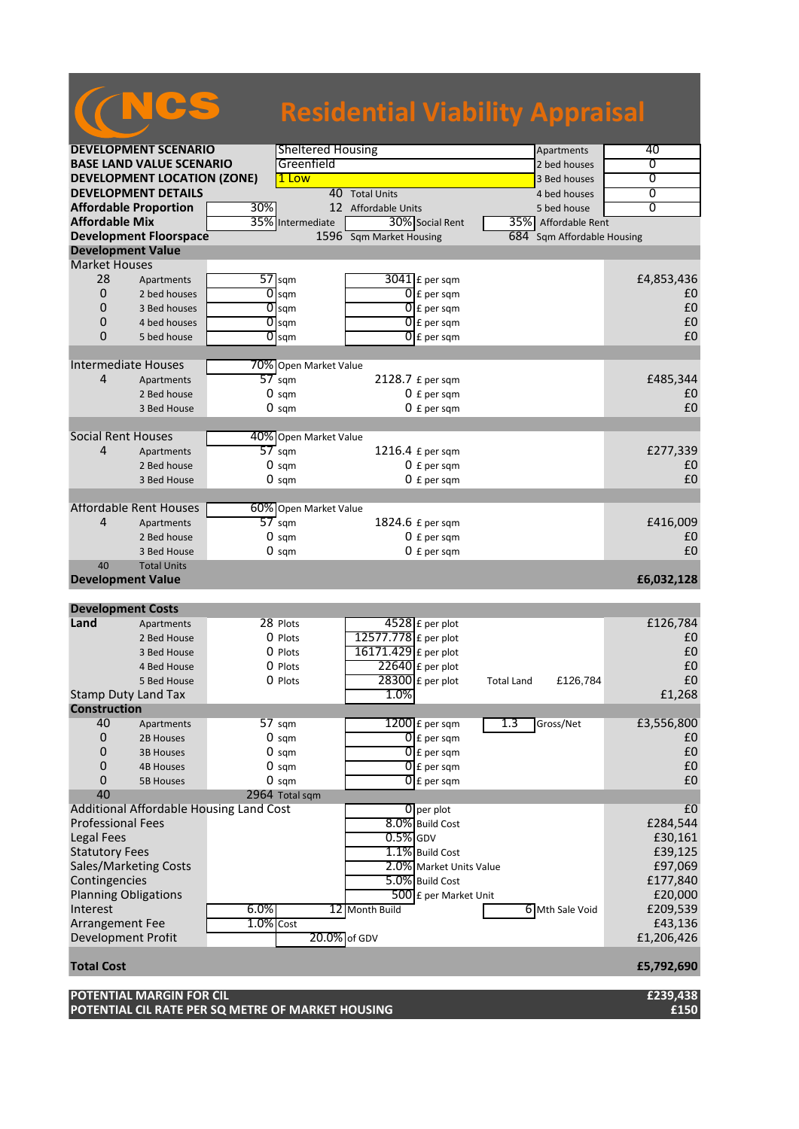|                           |                                    |     |                          | <b>Residential Viability Appraisal</b> |                   |                            |                |
|---------------------------|------------------------------------|-----|--------------------------|----------------------------------------|-------------------|----------------------------|----------------|
|                           |                                    |     |                          |                                        |                   |                            |                |
|                           | <b>DEVELOPMENT SCENARIO</b>        |     | <b>Sheltered Housing</b> |                                        |                   | Apartments                 | 40             |
|                           | <b>BASE LAND VALUE SCENARIO</b>    |     | Greenfield               |                                        |                   | 2 bed houses               | 0              |
|                           | <b>DEVELOPMENT LOCATION (ZONE)</b> |     | 1 Low                    |                                        |                   | 3 Bed houses               | 0              |
|                           | <b>DEVELOPMENT DETAILS</b>         |     | 40 Total Units           |                                        |                   | 4 bed houses               | $\overline{0}$ |
|                           | <b>Affordable Proportion</b>       | 30% | 12 Affordable Units      |                                        |                   | 5 bed house                | $\overline{0}$ |
| <b>Affordable Mix</b>     |                                    |     | 35% Intermediate         | 30% Social Rent                        |                   | 35% Affordable Rent        |                |
|                           | <b>Development Floorspace</b>      |     |                          | 1596 Sqm Market Housing                |                   | 684 Sqm Affordable Housing |                |
|                           | <b>Development Value</b>           |     |                          |                                        |                   |                            |                |
| <b>Market Houses</b>      |                                    |     |                          |                                        |                   |                            |                |
| 28                        | Apartments                         | 57  | sqm                      | $3041$ E per sam                       |                   |                            | £4,853,436     |
| $\Omega$                  | 2 bed houses                       | 0   | sam                      | $\overline{0}$ E per sqm               |                   |                            | £0             |
| $\overline{0}$            | 3 Bed houses                       | 0   | sqm                      | $01$ E per sqm                         |                   |                            | £0             |
| 0                         | 4 bed houses                       | 0   | sqm                      | $\overline{0}$ E per sqm               |                   |                            | £0             |
| $\Omega$                  | 5 bed house                        | 0   | sqm                      | $0 \mathsf{E}$ per sqm                 |                   |                            | £0             |
|                           |                                    |     |                          |                                        |                   |                            |                |
|                           | Intermediate Houses                |     | 70% Open Market Value    |                                        |                   |                            |                |
| 4                         | Apartments                         |     | $57$ sqm                 | 2128.7 £ per sqm                       |                   |                            | £485,344       |
|                           | 2 Bed house                        |     | $0 \text{ sqm}$          | $0 f per$ sqm                          |                   |                            | £0             |
|                           | 3 Bed House                        |     | 0 sam                    | $0 f per$ sqm                          |                   |                            | £0             |
| <b>Social Rent Houses</b> |                                    |     |                          |                                        |                   |                            |                |
|                           |                                    |     | 40% Open Market Value    |                                        |                   |                            |                |
| 4                         | Apartments                         |     | $57$ sqm                 | 1216.4 £ per sqm                       |                   |                            | £277,339       |
|                           | 2 Bed house                        |     | 0 sam                    | $0 \nvert$ E per sam                   |                   |                            | £0             |
|                           | 3 Bed House                        |     | $0 \text{ sqm}$          | $0 f per$ sqm                          |                   |                            | £0             |
|                           | <b>Affordable Rent Houses</b>      |     | 60% Open Market Value    |                                        |                   |                            |                |
| 4                         | Apartments                         |     | 57 sam                   | 1824.6 £ per sqm                       |                   |                            | £416,009       |
|                           | 2 Bed house                        |     | $0 \text{ sqm}$          |                                        |                   |                            | £0             |
|                           | 3 Bed House                        |     | $0 \text{ sam}$          | $0 f per$ sqm<br>$0 f per$ sqm         |                   |                            | £0             |
| 40                        | <b>Total Units</b>                 |     |                          |                                        |                   |                            |                |
|                           | <b>Development Value</b>           |     |                          |                                        |                   |                            | £6,032,128     |
|                           |                                    |     |                          |                                        |                   |                            |                |
|                           | <b>Development Costs</b>           |     |                          |                                        |                   |                            |                |
| Land                      | Apartments                         |     | 28 Plots                 | 4528 £ per plot                        |                   |                            | £126,784       |
|                           | 2 Bed House                        |     | $0$ Plots                | 12577.778 £ per plot                   |                   |                            | £0             |
|                           | 3 Bed House                        |     | 0 Plots                  | 16171.429 £ per plot                   |                   |                            | £0             |
|                           | 4 Bed House                        |     | 0 Plots                  | $22640$ £ per plot                     |                   |                            | £0             |
|                           | 5 Bed House                        |     | 0 Plots                  | $28300$ £ per plot                     | <b>Total Land</b> | £126,784                   | £0             |
|                           | <b>Stamp Duty Land Tax</b>         |     |                          | 1.0%                                   |                   |                            | £1,268         |
|                           |                                    |     |                          |                                        |                   |                            |                |

**nstru**<br>40 Apartments 57 sqm 1200 £ per sqm 1.3 Gross/Net £3,556,800<br>2B Houses 0 sqm 1.3 Gross/Net £3,556,800 0 2B Houses 0 sqm  $\bigcap_{\text{E}}$  per sqm  $\bigcup_{\text{E}}$  per sqm  $\bigcup$ 0 3B Houses 0 sqm  $\bigcap_{\text{E}}$  per sqm  $\bigcup_{\text{E}}$  per sqm  $\bigcup$ 0 4B Houses 0 sqm  $\bigcap_{\text{E}}$  per sqm  $\bigcup_{\text{E}}$  per sqm  $\bigcup$ 0 5B Houses 0 sqm  $\bigcap_{\text{f} \text{per}}$  sqm  $\bigcup_{\text{f}}$  per sqm  $\bigcup$ 40 2964 Total sqm Additional Affordable Housing Land Cost 6 per plot 5.0% Build Cost 6 cost 6 per plot 5.0% Build Cost 6 cost 6 cost 6 cost 6 cost 6 cost 6 cost 6 cost 6 cost 6 cost 6 cost 6 cost 6 cost 6 cost 6 cost 6 cost 6 cost 6 cost 6 Professional Fees. Legal Fees  $\begin{bmatrix} 0.5\% \end{bmatrix}$ GDV  $\begin{bmatrix} 0.5\% \end{bmatrix}$ GDV  $\begin{bmatrix} 0.5\% \end{bmatrix}$ CDV  $\begin{bmatrix} 0.5\% \end{bmatrix}$ CDV  $\begin{bmatrix} 0.5\% \end{bmatrix}$ CDV  $\begin{bmatrix} 0.5\% \end{bmatrix}$ CDV  $\begin{bmatrix} 0.5\% \end{bmatrix}$ CDV  $\begin{bmatrix} 0.5\% \end{bmatrix}$ CDV  $\begin{bmatrix} 0.5\% \end{bmatrix$ Statutory Fees E39,125<br>
Sales/Marketing Costs **1.1%** Build Cost E39,125 Sales/Marketing Costs **2.0%** Market Units Value **E97,069**<br>Contingencies **E177,840 Contingencies** Planning Obligations  $\sqrt{500}$  £ per Market Unit  $\sqrt{20,000}$ Interest 6.0% 12 Month Build 6 Mth Sale Void £209,539<br>Arrangement Fee 1.0% Cost 643,136 Arrangement Fee 1.0% Cost 1.0% Cost 1.0% Cost 1.0% Cost 1.0% Cost 1.0% Cost 1.0% Cost 1.0% Cost 1.0% Cost 1.0% Cost 1.0% Cost 1.0% Cost 1.200, 06 GDV 1.206, 426 Development Profit **Total Cost £5,792,690**

## **POTENTIAL MARGIN FOR CIL £239,438 POTENTIAL CIL RATE PER SQ METRE OF MARKET HOUSING £150**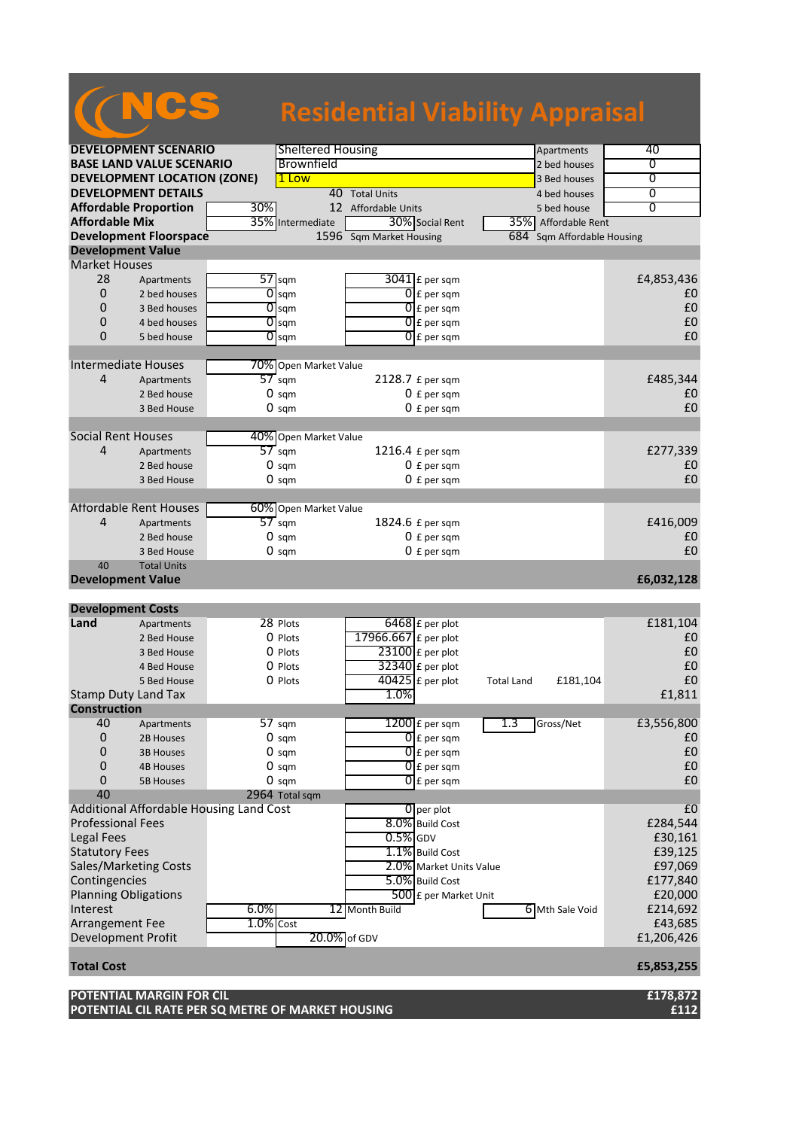|                                |                                    |                |                          | <b>Residential Viability Appraisal</b> |                          |                   |                            |                |
|--------------------------------|------------------------------------|----------------|--------------------------|----------------------------------------|--------------------------|-------------------|----------------------------|----------------|
|                                | <b>DEVELOPMENT SCENARIO</b>        |                | <b>Sheltered Housing</b> |                                        |                          |                   | Apartments                 | 40             |
|                                | <b>BASE LAND VALUE SCENARIO</b>    |                | Brownfield               |                                        |                          |                   | 2 bed houses               | 0              |
|                                | <b>DEVELOPMENT LOCATION (ZONE)</b> |                | 1 Low                    |                                        |                          |                   | 3 Bed houses               | 0              |
| <b>DEVELOPMENT DETAILS</b>     |                                    |                |                          | 40 Total Units                         | 4 bed houses             | 0                 |                            |                |
|                                | <b>Affordable Proportion</b>       | 30%            |                          | 12 Affordable Units                    |                          |                   | 5 bed house                | $\overline{0}$ |
| <b>Affordable Mix</b>          |                                    | 35%            | Intermediate             |                                        | 30% Social Rent          |                   | 35% Affordable Rent        |                |
|                                | <b>Development Floorspace</b>      |                |                          | 1596 Sqm Market Housing                |                          |                   | 684 Sqm Affordable Housing |                |
| <b>Development Value</b>       |                                    |                |                          |                                        |                          |                   |                            |                |
| <b>Market Houses</b>           |                                    |                |                          |                                        |                          |                   |                            |                |
| 28                             | Apartments                         |                | $57$ sqm                 |                                        | $3041$ £ per sqm         |                   |                            | £4,853,436     |
| $\mathbf 0$                    | 2 bed houses                       | 0              | sam                      |                                        | $0 \nvert$ £ per sqm     |                   |                            | £0             |
| $\Omega$                       | 3 Bed houses                       | 0              | sqm                      |                                        | $0$ $f$ per sqm          |                   |                            | £0             |
| $\Omega$                       | 4 bed houses                       | $\overline{0}$ | sqm                      |                                        | $0f$ per sqm             |                   |                            | £0             |
| $\Omega$                       | 5 bed house                        | O              | sqm                      |                                        | $\overline{0}$ £ per sam |                   |                            | £0             |
|                                |                                    |                |                          |                                        |                          |                   |                            |                |
| <b>Intermediate Houses</b>     |                                    |                | 70% Open Market Value    |                                        |                          |                   |                            |                |
| 4                              | Apartments                         |                | $57 \text{ sqm}$         | 2128.7 $E$ per sqm                     |                          |                   |                            | £485,344       |
|                                | 2 Bed house                        |                | $0 \text{ sqm}$          |                                        | $0 f$ per sqm            |                   |                            | £0             |
|                                | 3 Bed House                        |                | $0 \text{ sam}$          |                                        | $0 f$ per sam            |                   |                            | £0             |
|                                |                                    |                |                          |                                        |                          |                   |                            |                |
| <b>Social Rent Houses</b>      |                                    |                | 40% Open Market Value    |                                        |                          |                   |                            |                |
| $\overline{4}$                 | Apartments                         |                | $57$ sqm                 | 1216.4 £ per sqm                       |                          |                   |                            | £277,339       |
|                                | 2 Bed house                        |                | $0 \text{ sqm}$          |                                        | $0 f per$ sqm            |                   |                            | £0             |
|                                | 3 Bed House                        |                | $0 \text{ sqm}$          |                                        | $0 f$ per sqm            |                   |                            | £0             |
|                                |                                    |                |                          |                                        |                          |                   |                            |                |
| $\overline{4}$                 | Affordable Rent Houses             |                | 60% Open Market Value    |                                        |                          |                   |                            |                |
|                                | Apartments                         |                | $57 \text{ sqm}$         | 1824.6 £ per sqm                       |                          |                   |                            | £416,009       |
|                                | 2 Bed house                        |                | $0 \text{ sam}$          |                                        | $0 f per$ sqm            |                   |                            | £0<br>£0       |
|                                | 3 Bed House                        |                | $0 \text{ sam}$          |                                        | $0 f per$ sqm            |                   |                            |                |
| 40<br><b>Development Value</b> | <b>Total Units</b>                 |                |                          |                                        |                          |                   |                            | £6,032,128     |
|                                |                                    |                |                          |                                        |                          |                   |                            |                |
| <b>Development Costs</b>       |                                    |                |                          |                                        |                          |                   |                            |                |
| Land                           | Apartments                         |                | 28 Plots                 |                                        | 6468 £ per plot          |                   |                            | £181,104       |
|                                | 2 Bed House                        |                | O Plots                  | 17966.667 £ per plot                   |                          |                   |                            | £0             |
|                                | 3 Bed House                        |                | $0$ Plots                | $23100$ £ per plot                     |                          |                   |                            | £0             |
|                                | 4 Bed House                        |                | O Plots                  |                                        | $32340$ £ per plot       |                   |                            | £0             |
|                                | 5 Bed House                        |                | 0 Plots                  | $40425$ £ per plot                     |                          | <b>Total Land</b> | £181,104                   | £0             |
| <b>Stamp Duty Land Tax</b>     |                                    |                |                          | 1.0%                                   |                          |                   |                            | £1,811         |
| <b>Construction</b>            |                                    |                |                          |                                        |                          |                   |                            |                |
| 40                             | Apartments                         |                | 57 sgm                   |                                        | $1200 \text{ E}$ per sqm | 1.3               | Gross/Net                  | £3,556,800     |
| $\Omega$                       | 2B Houses                          |                | $0 \text{ sqm}$          |                                        | $\overline{0}$ £ per sqm |                   |                            | £0             |

| 0                        | <b>4B Houses</b>                        |           | $0 \text{ sam}$ |                | $\overline{0}$ E per sqm |                 | £0         |
|--------------------------|-----------------------------------------|-----------|-----------------|----------------|--------------------------|-----------------|------------|
| 0                        | 5B Houses                               |           | $0 \text{ sam}$ |                | $\overline{0}$ E per sqm |                 | £0         |
| 40                       |                                         |           | 2964 Total sqm  |                |                          |                 |            |
|                          | Additional Affordable Housing Land Cost |           |                 |                | $0$ per plot             |                 | £0         |
| <b>Professional Fees</b> |                                         |           |                 |                | 8.0% Build Cost          |                 | £284,544   |
| Legal Fees               |                                         |           |                 | $0.5\%$ GDV    |                          |                 | £30,161    |
| <b>Statutory Fees</b>    |                                         |           |                 |                | 1.1% Build Cost          |                 | £39,125    |
|                          | <b>Sales/Marketing Costs</b>            |           |                 |                | 2.0% Market Units Value  |                 | £97,069    |
| Contingencies            |                                         |           |                 |                | 5.0% Build Cost          |                 | £177,840   |
|                          | <b>Planning Obligations</b>             |           |                 |                | 500 £ per Market Unit    |                 | £20,000    |
| Interest                 |                                         | 6.0%      |                 | 12 Month Build |                          | 6 Mth Sale Void | £214,692   |
| Arrangement Fee          |                                         | 1.0% Cost |                 |                |                          |                 | £43,685    |
| Development Profit       |                                         |           | 20.0% of GDV    |                |                          |                 | £1,206,426 |
|                          |                                         |           |                 |                |                          |                 |            |
| <b>Total Cost</b>        |                                         |           |                 |                |                          |                 | £5,853,255 |

0 3B Houses 0 sqm  $\bigcap_{\text{E}}$  per sqm  $\bigcup_{\text{E}}$  per sqm  $\bigcup$ 

**POTENTIAL MARGIN FOR CIL £178,872 POTENTIAL CIL RATE PER SQ METRE OF MARKET HOUSING £112**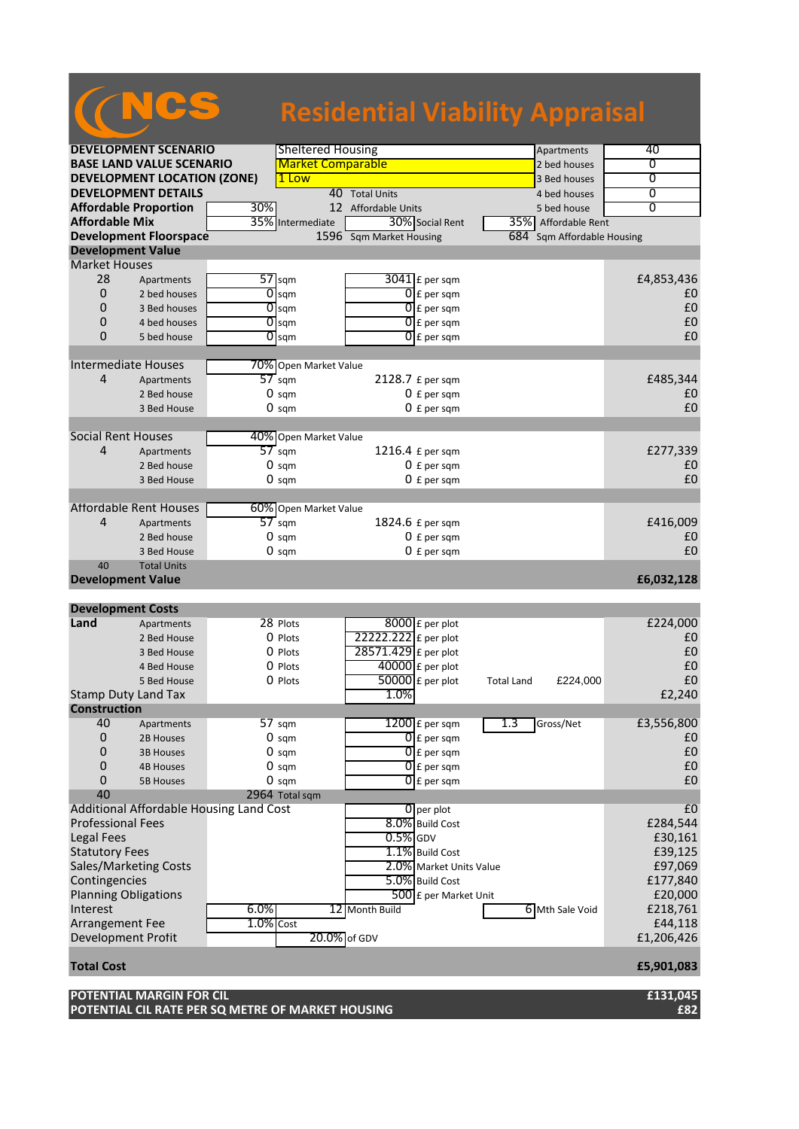|                           |                                    |     |                          | <b>Residential Viability Appraisal</b> |                          |                   |                        |                |
|---------------------------|------------------------------------|-----|--------------------------|----------------------------------------|--------------------------|-------------------|------------------------|----------------|
|                           |                                    |     |                          |                                        |                          |                   |                        |                |
|                           | <b>DEVELOPMENT SCENARIO</b>        |     | <b>Sheltered Housing</b> |                                        |                          |                   | Apartments             | 40             |
|                           | <b>BASE LAND VALUE SCENARIO</b>    |     | <b>Market Comparable</b> |                                        |                          |                   | 2 bed houses           | 0              |
|                           | <b>DEVELOPMENT LOCATION (ZONE)</b> |     | 1 Low                    |                                        |                          |                   | 3 Bed houses           | $\overline{0}$ |
|                           | <b>DEVELOPMENT DETAILS</b>         |     |                          | 40 Total Units                         |                          |                   | 4 bed houses           | 0              |
|                           | <b>Affordable Proportion</b>       | 30% |                          | 12 Affordable Units                    |                          |                   | 5 bed house            | $\overline{0}$ |
| <b>Affordable Mix</b>     |                                    |     | 35% Intermediate         |                                        | 30% Social Rent          |                   | 35% Affordable Rent    |                |
|                           | <b>Development Floorspace</b>      |     |                          | 1596 Sqm Market Housing                |                          | 684               | Sqm Affordable Housing |                |
| <b>Development Value</b>  |                                    |     |                          |                                        |                          |                   |                        |                |
| <b>Market Houses</b>      |                                    |     |                          |                                        |                          |                   |                        |                |
| 28                        | Apartments                         |     | $57$ sqm                 | $3041$ $E$ per sqm                     |                          |                   |                        | £4,853,436     |
| $\overline{0}$            | 2 bed houses                       | 0   | sqm                      |                                        | $0 \nvert$ £ per sqm     |                   |                        | £0             |
| 0                         | 3 Bed houses                       |     | $\overline{O}$ sqm       | 0                                      | E per sqm                |                   |                        | £0             |
| 0                         | 4 bed houses                       |     | $\overline{0}$ sqm       | 0                                      | £ per sqm                |                   |                        | £0             |
| 0                         | 5 bed house                        |     | $\overline{O}$ sqm       |                                        | $0$ $f$ per sqm          |                   |                        | £0             |
|                           |                                    |     |                          |                                        |                          |                   |                        |                |
|                           | <b>Intermediate Houses</b>         |     | 70% Open Market Value    |                                        |                          |                   |                        |                |
| 4                         | Apartments                         |     | $\overline{57}$ sqm      | 2128.7 £ per sqm                       |                          |                   |                        | £485,344       |
|                           | 2 Bed house                        |     | $0 \text{ sqm}$          |                                        | $0 f$ per sqm            |                   |                        | £0<br>£0       |
|                           | 3 Bed House                        |     | $0 \text{ sqm}$          |                                        | $0 f per$ sqm            |                   |                        |                |
| <b>Social Rent Houses</b> |                                    |     | 40% Open Market Value    |                                        |                          |                   |                        |                |
| 4                         | Apartments                         |     | $57$ sqm                 | 1216.4 £ per sqm                       |                          |                   |                        | £277,339       |
|                           | 2 Bed house                        |     | $0 \text{ sqm}$          |                                        | $0 f per$ sqm            |                   |                        | £0             |
|                           | 3 Bed House                        |     | $0 \text{ sqm}$          |                                        | $0 f per$ sqm            |                   |                        | £0             |
|                           |                                    |     |                          |                                        |                          |                   |                        |                |
|                           | <b>Affordable Rent Houses</b>      |     | 60% Open Market Value    |                                        |                          |                   |                        |                |
| 4                         | Apartments                         |     | $57$ sqm                 | 1824.6 £ per sqm                       |                          |                   |                        | £416,009       |
|                           | 2 Bed house                        |     | $0 \text{ sqm}$          |                                        | $0 f per$ sqm            |                   |                        | £0             |
|                           | 3 Bed House                        |     | $0 \text{ sqm}$          |                                        | $0 f per$ sqm            |                   |                        | £0             |
| 40                        | <b>Total Units</b>                 |     |                          |                                        |                          |                   |                        |                |
| <b>Development Value</b>  |                                    |     |                          |                                        |                          |                   |                        | £6,032,128     |
|                           |                                    |     |                          |                                        |                          |                   |                        |                |
| <b>Development Costs</b>  |                                    |     |                          |                                        |                          |                   |                        |                |
| Land                      | Apartments                         |     | 28 Plots                 | $8000$ $E$ per plot                    |                          |                   |                        | £224,000       |
|                           | 2 Bed House                        |     | 0 Plots                  | 22222.222 £ per plot                   |                          |                   |                        | £0             |
|                           | 3 Bed House                        |     | 0 Plots                  | 28571.429 £ per plot                   |                          |                   |                        | £0             |
|                           | 4 Bed House                        |     | 0 Plots                  | $40000$ £ per plot                     |                          |                   |                        | £0             |
|                           | 5 Bed House                        |     | 0 Plots                  | $50000$ £ per plot                     |                          | <b>Total Land</b> | £224,000               | £0             |
|                           | <b>Stamp Duty Land Tax</b>         |     |                          | 1.0%                                   |                          |                   |                        | £2,240         |
| <b>Construction</b>       |                                    |     |                          |                                        |                          |                   |                        |                |
| 40                        | Apartments                         |     | 57 sqm                   | 1200 £ per sqm                         |                          | 1.3               | Gross/Net              | £3,556,800     |
| $\pmb{0}$                 | 2B Houses                          |     | $0 \text{ sqm}$          |                                        | $\overline{0}$ £ per sqm |                   |                        | £0             |
| 0                         | <b>3B Houses</b>                   |     | $0 \text{ sqm}$          |                                        | $\overline{0}$ £ per sqm |                   |                        | £0             |
| 0                         | <b>4B Houses</b>                   |     | $0 \text{ sqm}$          |                                        | $\overline{0}$ £ per sqm |                   |                        | £0             |
| 0                         | <b>5B Houses</b>                   |     | $0 \text{ sqm}$          |                                        | $\overline{0}$ £ per sqm |                   |                        | £0             |

40 2964 Total sqm Additional Affordable Housing Land Cost 6 per plot 6 per plot 6 per plot 6 per plot 6 per plot 6 per plot 6 per plot 6 per plot 6 per plot 6 per plot 6 per plot 6 per plot 6 per plot 6 per plot 6 per plot 6 per plot 6 per Professional Fees 8.0% Build Cost Legal Fees  $\begin{bmatrix} 0.5\% \end{bmatrix}$ GDV  $\begin{bmatrix} 0.5\% \end{bmatrix}$ GDV  $\begin{bmatrix} 0.5\% \end{bmatrix}$ CDV  $\begin{bmatrix} 0.5\% \end{bmatrix}$ CDV  $\begin{bmatrix} 0.5\% \end{bmatrix}$ CDV  $\begin{bmatrix} 0.5\% \end{bmatrix}$ CDV  $\begin{bmatrix} 0.5\% \end{bmatrix}$ CDV  $\begin{bmatrix} 0.5\% \end{bmatrix}$ CDV  $\begin{bmatrix} 0.5\% \end{bmatrix$ Statutory Fees E39,125<br>
Sales/Marketing Costs **1.1%** Build Cost E39,125<br>
2.0% Market Units Value E97,069 Sales/Marketing Costs **2.0%** Market Units Value **E97,069**<br>Contingencies **E177,840**<br>Contingencies **E177,840** Contingencies **E177,840**<br>
Planning Obligations **E20,000** Planning Obligations  $\overline{500}$  £ per Market Unit Interest 6.0% 12 Month Build 6 Mth Sale Void £218,761<br>Arrangement Fee 1.0% Cost 644,118 Arrangement Fee 1.0% Cost 1.0% Cost 1.0% Cost 1.0% Cost 1.0% Cost 1.0% Cost 1.0% Cost 1.0% Cost 1.0% Cost 1.0% Cost 1.0% Cost 1.206,426 Development Profit **Total Cost £5,901,083**

**POTENTIAL MARGIN FOR CIL £131,045 POTENTIAL CIL RATE PER SQ METRE OF MARKET HOUSING £82**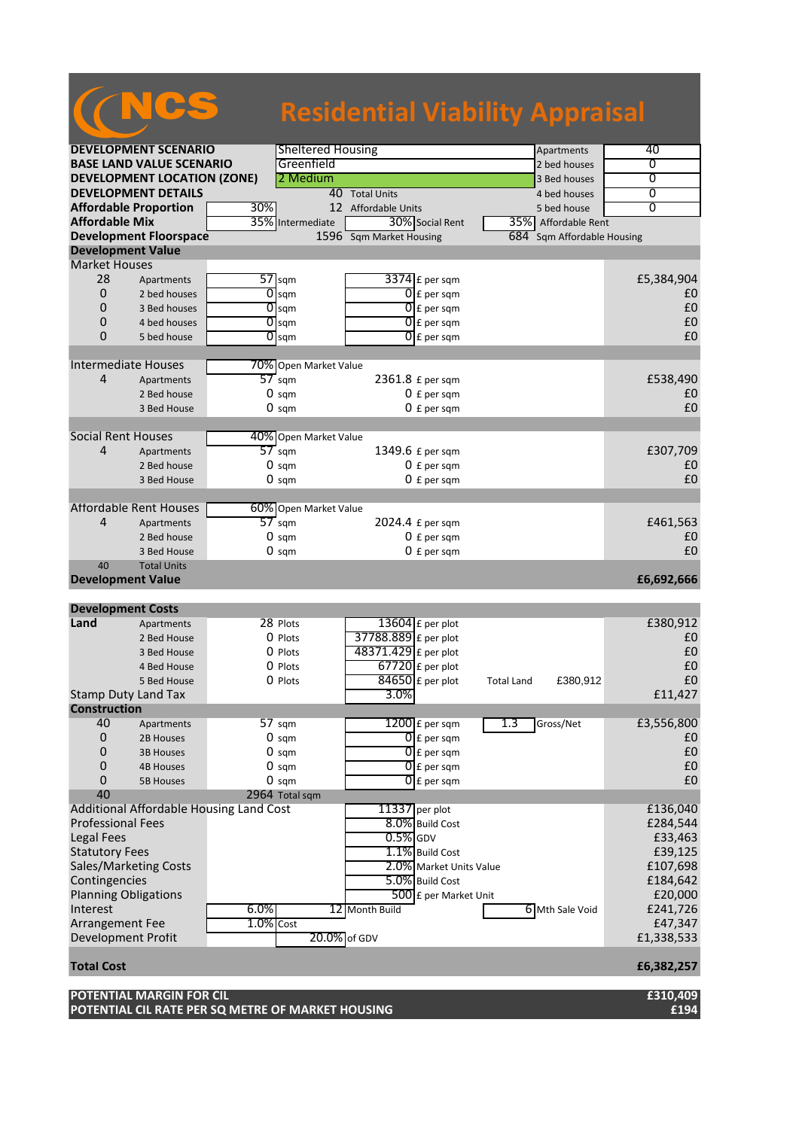|                                                       |                                         |              |                                   | <b>Residential Viability Appraisal</b> |                          |                   |                                    |                   |
|-------------------------------------------------------|-----------------------------------------|--------------|-----------------------------------|----------------------------------------|--------------------------|-------------------|------------------------------------|-------------------|
|                                                       |                                         |              |                                   |                                        |                          |                   |                                    |                   |
|                                                       | <b>DEVELOPMENT SCENARIO</b>             |              | <b>Sheltered Housing</b>          |                                        |                          |                   | Apartments                         | 40                |
|                                                       | <b>BASE LAND VALUE SCENARIO</b>         |              | Greenfield                        |                                        |                          |                   | 2 bed houses                       | 0                 |
|                                                       | <b>DEVELOPMENT LOCATION (ZONE)</b>      |              | 2 Medium                          |                                        |                          |                   | 3 Bed houses                       | $\overline{0}$    |
|                                                       | <b>DEVELOPMENT DETAILS</b>              |              |                                   | 40 Total Units                         |                          |                   | 4 bed houses                       | 0                 |
| <b>Affordable Proportion</b><br><b>Affordable Mix</b> |                                         | 30%          | 35% Intermediate                  | 12 Affordable Units                    | 30% Social Rent          |                   | 5 bed house<br>35% Affordable Rent | $\overline{0}$    |
|                                                       | <b>Development Floorspace</b>           |              |                                   | 1596 Sqm Market Housing                |                          | 684               | Sqm Affordable Housing             |                   |
| <b>Development Value</b>                              |                                         |              |                                   |                                        |                          |                   |                                    |                   |
| <b>Market Houses</b>                                  |                                         |              |                                   |                                        |                          |                   |                                    |                   |
| 28                                                    | Apartments                              |              | $57$ sqm                          |                                        | $3374$ £ per sqm         |                   |                                    | £5,384,904        |
| $\overline{0}$                                        | 2 bed houses                            | 0            | sqm                               |                                        | $0 \nvert$ E per sqm     |                   |                                    | £0                |
| 0                                                     | 3 Bed houses                            |              | $\overline{O}$ sqm                |                                        | $0$ $f$ per sqm          |                   |                                    | £0                |
| 0                                                     | 4 bed houses                            |              | $0$ sqm                           |                                        | $\overline{0}$ £ per sqm |                   |                                    | £0                |
| $\Omega$                                              | 5 bed house                             |              | $\overline{O}$ sqm                |                                        | $\overline{0}$ E per sqm |                   |                                    | £0                |
| <b>Intermediate Houses</b>                            |                                         |              | 70% Open Market Value             |                                        |                          |                   |                                    |                   |
| 4                                                     | Apartments                              |              | $\overline{57}$ sqm               | 2361.8 £ per sqm                       |                          |                   |                                    | £538,490          |
|                                                       | 2 Bed house                             |              | $0 \text{ sqm}$                   |                                        | $0 f per$ sqm            |                   |                                    | £0                |
|                                                       | 3 Bed House                             |              | $0 \text{ sqm}$                   |                                        | $0 f per$ sqm            |                   |                                    | £0                |
|                                                       |                                         |              |                                   |                                        |                          |                   |                                    |                   |
| <b>Social Rent Houses</b>                             |                                         |              | 40% Open Market Value             |                                        |                          |                   |                                    |                   |
| 4                                                     | Apartments                              |              | $57$ sqm                          | 1349.6 £ per sqm                       |                          |                   |                                    | £307,709          |
|                                                       | 2 Bed house                             |              | $0 \text{ sqm}$                   |                                        | $0 f per$ sqm            |                   |                                    | £0                |
|                                                       | 3 Bed House                             |              | $0 \text{ sqm}$                   |                                        | $0 f per$ sqm            |                   |                                    | £0                |
|                                                       | <b>Affordable Rent Houses</b>           |              | 60% Open Market Value             |                                        |                          |                   |                                    |                   |
| 4                                                     | Apartments                              |              | $57$ sqm                          | 2024.4 £ per sqm                       |                          |                   |                                    | £461,563          |
|                                                       | 2 Bed house                             |              | $0 \text{ sqm}$                   |                                        | $0 f per$ sqm            |                   |                                    | £0                |
|                                                       | 3 Bed House                             |              | $0 \text{ sqm}$                   |                                        | $0 f per$ sqm            |                   |                                    | £0                |
| 40                                                    | <b>Total Units</b>                      |              |                                   |                                        |                          |                   |                                    |                   |
| <b>Development Value</b>                              |                                         |              |                                   |                                        |                          |                   |                                    | £6,692,666        |
|                                                       |                                         |              |                                   |                                        |                          |                   |                                    |                   |
| <b>Development Costs</b><br>Land                      | Apartments                              |              | 28 Plots                          |                                        | $13604$ E per plot       |                   |                                    | £380,912          |
|                                                       | 2 Bed House                             |              | $0$ Plots                         | 37788.889 £ per plot                   |                          |                   |                                    | £0                |
|                                                       | 3 Bed House                             |              | 0 Plots                           | 48371.429 £ per plot                   |                          |                   |                                    | £0                |
|                                                       | 4 Bed House                             |              | $0$ Plots                         |                                        | $67720$ £ per plot       |                   |                                    | £0                |
|                                                       | 5 Bed House                             |              | 0 Plots                           |                                        | $84650$ £ per plot       | <b>Total Land</b> | £380,912                           | $\pmb{\text{f0}}$ |
| <b>Stamp Duty Land Tax</b>                            |                                         |              |                                   | 3.0%                                   |                          |                   |                                    | £11,427           |
| <b>Construction</b>                                   |                                         |              |                                   |                                        |                          |                   |                                    |                   |
| 40                                                    | Apartments                              |              | 57 sqm                            |                                        | $1200$ £ per sqm         | 1.3               | Gross/Net                          | £3,556,800        |
| $\mathbf 0$                                           | 2B Houses                               |              | $0 \text{ sqm}$                   |                                        | $\overline{0}$ £ per sqm |                   |                                    | £0                |
| 0                                                     | <b>3B Houses</b>                        |              | $0 \text{ sqm}$                   |                                        | $\overline{0}$ E per sqm |                   |                                    | £0                |
| $\mathbf 0$                                           | <b>4B Houses</b>                        |              | $0 \text{ sam}$                   |                                        | $\overline{0}$ £ per sqm |                   |                                    | £0                |
| 0<br>40                                               | <b>5B Houses</b>                        |              | $0 \text{ sqm}$<br>2964 Total sqm |                                        | $\overline{0}$ £ per sqm |                   |                                    | £0                |
|                                                       | Additional Affordable Housing Land Cost |              |                                   | $11337$ per plot                       |                          |                   |                                    | £136,040          |
| <b>Professional Fees</b>                              |                                         |              |                                   |                                        | 8.0% Build Cost          |                   |                                    | £284,544          |
| <b>Legal Fees</b>                                     |                                         |              |                                   | $0.5%$ GDV                             |                          |                   |                                    | £33,463           |
| <b>Statutory Fees</b>                                 |                                         |              |                                   |                                        | 1.1% Build Cost          |                   |                                    | £39,125           |
| Sales/Marketing Costs                                 |                                         |              |                                   |                                        | 2.0% Market Units Value  |                   |                                    | £107,698          |
| Contingencies                                         |                                         |              |                                   |                                        | 5.0% Build Cost          |                   |                                    | £184,642          |
| <b>Planning Obligations</b>                           |                                         |              |                                   |                                        | 500 £ per Market Unit    |                   |                                    | £20,000           |
| Interest                                              |                                         | 6.0%         |                                   | 12 Month Build                         |                          |                   | 6 Mth Sale Void                    | £241,726          |
| Arrangement Fee                                       |                                         | $1.0\%$ Cost |                                   |                                        |                          |                   |                                    | £47,347           |
| Development Profit                                    |                                         |              |                                   | 20.0% of GDV                           |                          |                   |                                    | £1,338,533        |
| <b>Total Cost</b>                                     |                                         |              |                                   |                                        |                          |                   |                                    | £6,382,257        |
|                                                       | POTENTIAL MARGIN FOR CIL                |              |                                   |                                        |                          |                   |                                    | £310,409          |

**POTENTIAL CIL RATE PER SQ METRE OF MARKET HOUSING £194**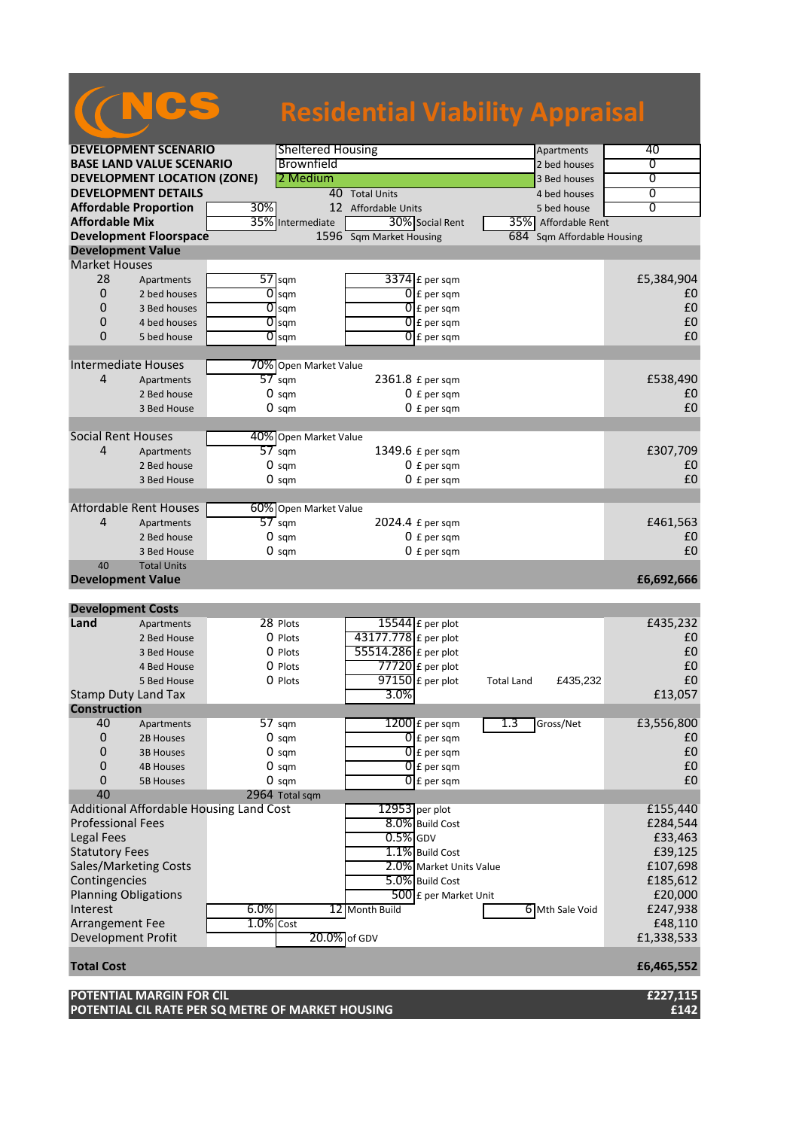|                                            |                                         |              |                                   | <b>Residential Viability Appraisal</b> |                   |                        |                |
|--------------------------------------------|-----------------------------------------|--------------|-----------------------------------|----------------------------------------|-------------------|------------------------|----------------|
|                                            | <b>DEVELOPMENT SCENARIO</b>             |              | <b>Sheltered Housing</b>          |                                        |                   | Apartments             | 40             |
|                                            | <b>BASE LAND VALUE SCENARIO</b>         |              | Brownfield                        |                                        |                   | 2 bed houses           | 0              |
|                                            | <b>DEVELOPMENT LOCATION (ZONE)</b>      |              | 2 Medium                          |                                        |                   | 3 Bed houses           | $\overline{0}$ |
|                                            | <b>DEVELOPMENT DETAILS</b>              |              |                                   | 40 Total Units                         |                   | 4 bed houses           | 0              |
| <b>Affordable Proportion</b>               |                                         | 30%          |                                   | 12 Affordable Units                    |                   | 5 bed house            | $\overline{0}$ |
| <b>Affordable Mix</b>                      |                                         |              | 35% Intermediate                  | 30% Social Rent                        |                   | 35% Affordable Rent    |                |
|                                            | <b>Development Floorspace</b>           |              |                                   | 1596 Sqm Market Housing                | 684               | Sqm Affordable Housing |                |
| <b>Development Value</b>                   |                                         |              |                                   |                                        |                   |                        |                |
| <b>Market Houses</b>                       |                                         |              |                                   |                                        |                   |                        |                |
| 28                                         | Apartments                              |              | $57$ sqm                          | $3374$ £ per sqm                       |                   |                        | £5,384,904     |
| 0                                          | 2 bed houses                            | 0            | sqm                               | $0f$ per sqm                           |                   |                        | £0             |
| 0                                          | 3 Bed houses                            |              | $\overline{O}$ sqm                | 01<br>£ per sqm                        |                   |                        | £0             |
| 0                                          | 4 bed houses                            |              | $0$ sqm                           | $0f$ per sqm                           |                   |                        | £0             |
| $\overline{0}$                             | 5 bed house                             |              | $\overline{O}$ sqm                | $\overline{0}$ E per sqm               |                   |                        | £0             |
| <b>Intermediate Houses</b>                 |                                         |              |                                   |                                        |                   |                        |                |
| 4                                          | Apartments                              |              | 70% Open Market Value<br>$57$ sqm | 2361.8 £ per sqm                       |                   |                        | £538,490       |
|                                            | 2 Bed house                             |              | $0 \text{ sqm}$                   | $0 f per$ sqm                          |                   |                        | £0             |
|                                            | 3 Bed House                             |              | $0 \text{ sqm}$                   | $0 f$ per sqm                          |                   |                        | £0             |
|                                            |                                         |              |                                   |                                        |                   |                        |                |
| <b>Social Rent Houses</b>                  |                                         |              | 40% Open Market Value             |                                        |                   |                        |                |
| 4                                          | Apartments                              |              | $57$ sqm                          | 1349.6 £ per sqm                       |                   |                        | £307,709       |
|                                            | 2 Bed house                             |              | $0 \text{ sqm}$                   | $0 f per$ sqm                          |                   |                        | £0             |
|                                            | 3 Bed House                             |              | $0 \text{ sqm}$                   | $0 f per$ sqm                          |                   |                        | £0             |
|                                            |                                         |              |                                   |                                        |                   |                        |                |
|                                            | <b>Affordable Rent Houses</b>           |              | 60% Open Market Value             |                                        |                   |                        |                |
| 4                                          | Apartments                              |              | $57$ sqm                          | 2024.4 £ per sqm                       |                   |                        | £461,563       |
|                                            | 2 Bed house                             |              | $0 \text{ sqm}$                   | $0 f per$ sqm                          |                   |                        | £0             |
|                                            | 3 Bed House                             |              | $0 \text{ sqm}$                   | $0 f per$ sqm                          |                   |                        | £0             |
| 40                                         | <b>Total Units</b>                      |              |                                   |                                        |                   |                        |                |
| <b>Development Value</b>                   |                                         |              |                                   |                                        |                   |                        | £6,692,666     |
|                                            |                                         |              |                                   |                                        |                   |                        |                |
| <b>Development Costs</b>                   |                                         |              |                                   |                                        |                   |                        |                |
| Land                                       | Apartments                              |              | 28 Plots                          | $15544$ E per plot                     |                   |                        | £435,232       |
|                                            | 2 Bed House                             |              | 0 Plots                           | 43177.778 £ per plot                   |                   |                        | £0             |
|                                            | 3 Bed House                             |              | 0 Plots                           | 55514.286 £ per plot                   |                   |                        | £0             |
|                                            | 4 Bed House                             |              | 0 Plots                           | $77720$ £ per plot                     |                   |                        | £0             |
|                                            | 5 Bed House                             |              | 0 Plots                           | $97150$ £ per plot<br>3.0%             | <b>Total Land</b> | £435,232               | £0             |
| Stamp Duty Land Tax<br><b>Construction</b> |                                         |              |                                   |                                        |                   |                        | £13,057        |
| 40                                         |                                         |              | 57 sqm                            | $1200$ £ per sqm                       | 1.3               | Gross/Net              | £3,556,800     |
| 0                                          | Apartments<br>2B Houses                 |              | $0 \text{ sqm}$                   | $0f$ per sqm                           |                   |                        | £0             |
| 0                                          | <b>3B Houses</b>                        |              | $0 \text{ sqm}$                   | $\overline{0}$ £ per sqm               |                   |                        | £0             |
| 0                                          | <b>4B Houses</b>                        |              | $0 \text{ sam}$                   | $\overline{0}$ E per sqm               |                   |                        | £0             |
| 0                                          | <b>5B Houses</b>                        |              | $0 \text{ sqm}$                   | $\overline{0}$ E per sqm               |                   |                        | £0             |
| 40                                         |                                         |              | 2964 Total sqm                    |                                        |                   |                        |                |
|                                            | Additional Affordable Housing Land Cost |              |                                   | $12953$ per plot                       |                   |                        | £155,440       |
| <b>Professional Fees</b>                   |                                         |              |                                   | 8.0% Build Cost                        |                   |                        | £284,544       |
| Legal Fees                                 |                                         |              |                                   | $0.5%$ GDV                             |                   |                        | £33,463        |
| <b>Statutory Fees</b>                      |                                         |              |                                   | 1.1% Build Cost                        |                   |                        | £39,125        |
| Sales/Marketing Costs                      |                                         |              |                                   | 2.0% Market Units Value                |                   |                        | £107,698       |
| Contingencies                              |                                         |              |                                   | 5.0% Build Cost                        |                   |                        | £185,612       |
| <b>Planning Obligations</b>                |                                         |              |                                   | 500 £ per Market Unit                  |                   |                        | £20,000        |
| Interest                                   |                                         | 6.0%         |                                   | 12 Month Build                         |                   | 6 Mth Sale Void        | £247,938       |
| Arrangement Fee                            |                                         | $1.0\%$ Cost |                                   |                                        |                   |                        | £48,110        |
| Development Profit                         |                                         |              |                                   | 20.0% of GDV                           |                   |                        | £1,338,533     |
| <b>Total Cost</b>                          |                                         |              |                                   |                                        |                   |                        | £6,465,552     |
|                                            | POTENTIAL MARGIN FOR CIL                |              |                                   |                                        |                   |                        | £227,115       |
|                                            |                                         |              |                                   |                                        |                   |                        |                |

**POTENTIAL CIL RATE PER SQ METRE OF MARKET HOUSING £142**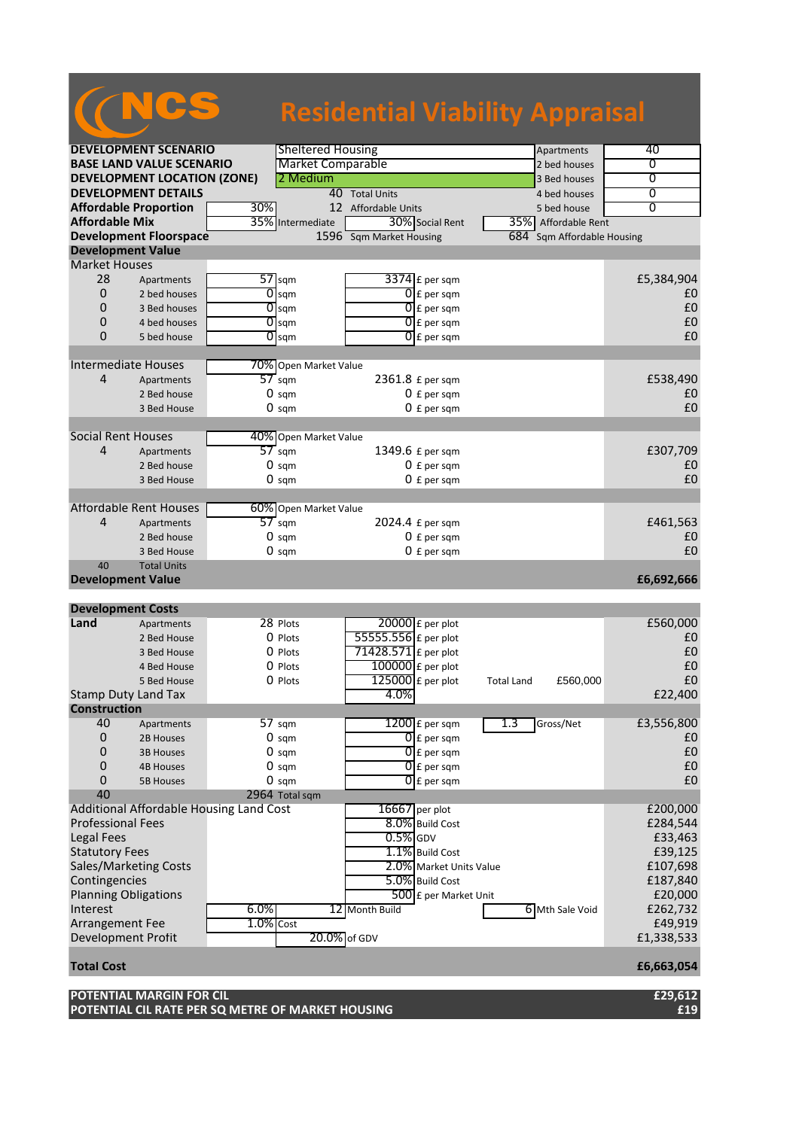## **DEVELOPMENT SCENARIO** Sheltered Housing Apartments Apartments 40<br> **BASE LAND VALUE SCENARIO** Market Comparable 2 bed houses 2 bed houses and 2 bed houses and 2 bed houses and 2 bed houses and 2 bed houses and 2 bed houses **BASE LAND VALUE SCENARIO** Market Comparable **1996** 2 bed houses 0 **0**<br> **DEVELOPMENT LOCATION (ZONE)** 2 Medium **DEVELOPMENT LOCATION (ZONE)** 2 Medium 3 Bed houses 0<br> **DEVELOPMENT DETAILS** 40 Total Units 4 Bed houses 0 **DEVELOPMENT DETAILS** 40 Total Units 4 bed houses 0<br> **Affordable Proportion** 30% 12 Affordable Units 5 bed house 0 **Affordable Proportion**<br> **Affordable Mix** 35% Intermediate 30% Social Rent 35% Affordable R **Afformation Contract Ariz 30% Social Rent 1 35% Affordable Rent Development Floorspace** 1596 Sqm Market Housing 684 Sqm Affordable Housing **Development Value** Market Houses<br>28 Apa 28 Apartments  $\overline{57}$  sqm  $\overline{3374}$  £ per sqm  $\overline{10}$  £5,384,904  $\overline{10}$   $\overline{2}$  bed houses  $\overline{10}$  am  $\overline{10}$   $\overline{10}$   $\overline{2}$  bed houses  $\overline{10}$ 0 2 bed houses  $\overline{0}$  sqm  $\overline{0}$  feer sqm  $\overline{0}$  per sqm  $\overline{1}$ 0 3 Bed houses  $\begin{bmatrix} 0 \\ 0 \end{bmatrix}$  sqm  $\begin{bmatrix} 0 \\ 1 \end{bmatrix}$  £ per sqm  $\begin{bmatrix} 0 \\ 1 \end{bmatrix}$  **Equal 2** and  $\begin{bmatrix} 0 \\ 1 \end{bmatrix}$  **Equal 2** and  $\begin{bmatrix} 0 \\ 1 \end{bmatrix}$  **Equal 2** and  $\begin{bmatrix} 0 \\ 1 \end{bmatrix}$  **Equal 2** and  $\begin{bmatrix} 0 \\ 0 \end{b$ 0 4 bed houses  $\overline{0}$  sqm  $\overline{0}$  feer sqm  $\overline{0}$  per sqm  $\overline{10}$ 0 5 bed house  $\begin{bmatrix} 0 \\ 0 \end{bmatrix}$  sqm  $\begin{bmatrix} 0 \\ 1 \end{bmatrix}$   $\begin{bmatrix} 0 \\ 0 \end{bmatrix}$   $\begin{bmatrix} 0 \\ 1 \end{bmatrix}$  per sqm  $\begin{bmatrix} 0 \\ 1 \end{bmatrix}$ Intermediate Houses 70% Open Market Value 4 Apartments 57 sqm 2361.8 £ per sqm 2361.8 ± per sqm 538,490 2 Bed house  $\begin{array}{ccc} 0 & \text{sgm} & 0 \text{ } \text{f} \text{ per sqm} \end{array}$ 3 Bed House  $\begin{array}{ccc} 0 & \text{sgm} & 0 \text{ } \text{f} \text{ per sqm} \end{array}$ Social Rent Houses **100%** Open Market Value<br>4 Apartments 57 sqm  $\overline{57}$  sqm  $\overline{57}$  and  $\overline{4349.6}$  £ per sqm  $\overline{57}$  E307,709 2 Bed house  $\begin{array}{ccc} 0 & \text{sgm} & 0 \text{ } \text{f} \text{ per sqm} \end{array}$  $3$  Bed House  $\begin{array}{ccc} 0 & \text{sgm} & 0 \end{array}$   $\begin{array}{ccc} 0 & \text{g}_{\text{c}} & \text{g}_{\text{c}} & \text{g}_{\text{c}} & \text{g}_{\text{c}} & \text{g}_{\text{c}} & \text{g}_{\text{c}} \end{array}$ Affordable Rent Houses 60% Open Market Value<br>4 Apartments 57 sqm 4 Apartments 57 sqm 2024.4 £ per sqm  $\overline{57}$  am 2024.4 £ per sqm  $\overline{2}$  bed house  $\overline{2}$  am  $\overline{2}$  bed house  $\overline{2}$  bed house  $\overline{2}$  bed house  $\overline{2}$  bed house  $\overline{2}$  bed house  $\overline{2}$  bed house  $\overline{2}$  b 2 Bed house  $\begin{array}{ccc} 0 & \text{sgm} & 0 \text{ } \text{f} \text{ per sqm} \end{array}$  $3$  Bed House  $\begin{array}{ccc} 0 & \text{sgm} & 0 \end{array}$   $\begin{array}{ccc} 0 & \text{g}_{\text{c}} & \text{g}_{\text{c}} & \text{g}_{\text{c}} & \text{g}_{\text{c}} & \text{g}_{\text{c}} & \text{g}_{\text{c}} \end{array}$ 40 Total Units **Development Value £6,692,666 Development Costs Land** Apartments 28 Plots 20000 £ per plot 20000 £ per plot 20000 £ per plot 20000 £ per plot 2 **E560,000** 2 Bed House  $\begin{array}{c} 0 \text{ Plots} \\ 0 \text{ Plots} \end{array}$   $\begin{array}{c} 55555.556 \text{ } \text{f} \text{ per plot} \\ 71428.571 \text{ } \text{f} \text{ per plot} \end{array}$   $\begin{array}{c} 20 \text{ Polots} \\ 10 \text{ Polots} \end{array}$ 3 Bed House  $\begin{array}{c} 0 \text{ Plots} \\ 0 \text{ Plots} \end{array}$   $\begin{array}{c} 71428.571 \text{ } \text{f} \text{ per plot} \\ 100000 \text{ } \text{f} \text{ per plot} \end{array}$   $\begin{array}{c} \text{E0} \\ \text{10} \text{ E0} \end{array}$  $100000$  £ per plot 5 Bed House  $\begin{array}{|c|c|c|c|c|}\n\hline\n & 125000 & \text{f} & \text{Total Land} & \text{£560,000} \\
\hline\n & 4.0\% & & \\
\hline\n\end{array}$  E22,400 Stamp Duty Land Tax **Construction**<br>40 Apartments 57 sqm 1200 £ per sqm 1.3 Gross/Net £3,556,800 0 2B Houses 0 sqm  $\bigcap_{\text{E}}$  per sqm  $\bigcup_{\text{E}}$  per sqm  $\bigcup$ 0 3B Houses 0 sqm  $\bigcap_{\text{E}}$  per sqm  $\bigcup_{\text{E}}$  per sqm  $\bigcup$ 0 4B Houses 0 sqm  $\bigcap_{\text{E}}$  per sqm  $\bigcup_{\text{E}}$  per sqm  $\bigcup$ 0 5B Houses 0 sqm  $\bigcap_{\text{E}}$  per sqm  $\bigcup_{\text{E}}$  per sqm  $\bigcup$ 40 2964 Total sqm Additional Affordable Housing Land Cost 16667 per plot 16667 **16667** per plot 200,000 Professional Fees **8.0%** Build Cost **£284,544** Legal Fees  $\begin{bmatrix} 0.5\% \end{bmatrix}$ GDV  $\begin{bmatrix} 0.5\% \end{bmatrix}$ GDV  $\begin{bmatrix} 0.5\% \end{bmatrix}$ CDV  $\begin{bmatrix} 0.5\% \end{bmatrix}$ CDV  $\begin{bmatrix} 0.5\% \end{bmatrix}$ CDV  $\begin{bmatrix} 0.5\% \end{bmatrix}$ CDV  $\begin{bmatrix} 0.5\% \end{bmatrix}$ CDV  $\begin{bmatrix} 0.5\% \end{bmatrix}$ CDV  $\begin{bmatrix} 0.5\% \end{bmatrix$ Statutory Fees E39,125<br>
Sales/Marketing Costs Cost Cost 2.0% Market Units Value Cost E107,698 Sales/Marketing Costs **2.0%** Market Units Value **107,698**<br>
2.0% Market Units Value **2.0% Accounts 107,698**<br>
2.0% Build Cost **107,698** Contingencies **2.0%** Build Cost **2.0%** Build Cost Planning Obligations  $\sqrt{500}$  £ per Market Unit  $\sqrt{20,000}$ Interest 6.0% 12 Month Build 6 Mth Sale Void £262,732<br>Arrangement Fee 1.0% Cost 6 1.0% Cost 649,919 Arrangement Fee  $\overline{1.0\% \cos t}$  E49,919<br>Development Profit 20.0% of GDV E1,338,533 Development Profit **Total Cost £6,663,054 NCS Residential Viability Appraisal**

**POTENTIAL MARGIN FOR CIL £29,612 POTENTIAL CIL RATE PER SQ METRE OF MARKET HOUSING £19**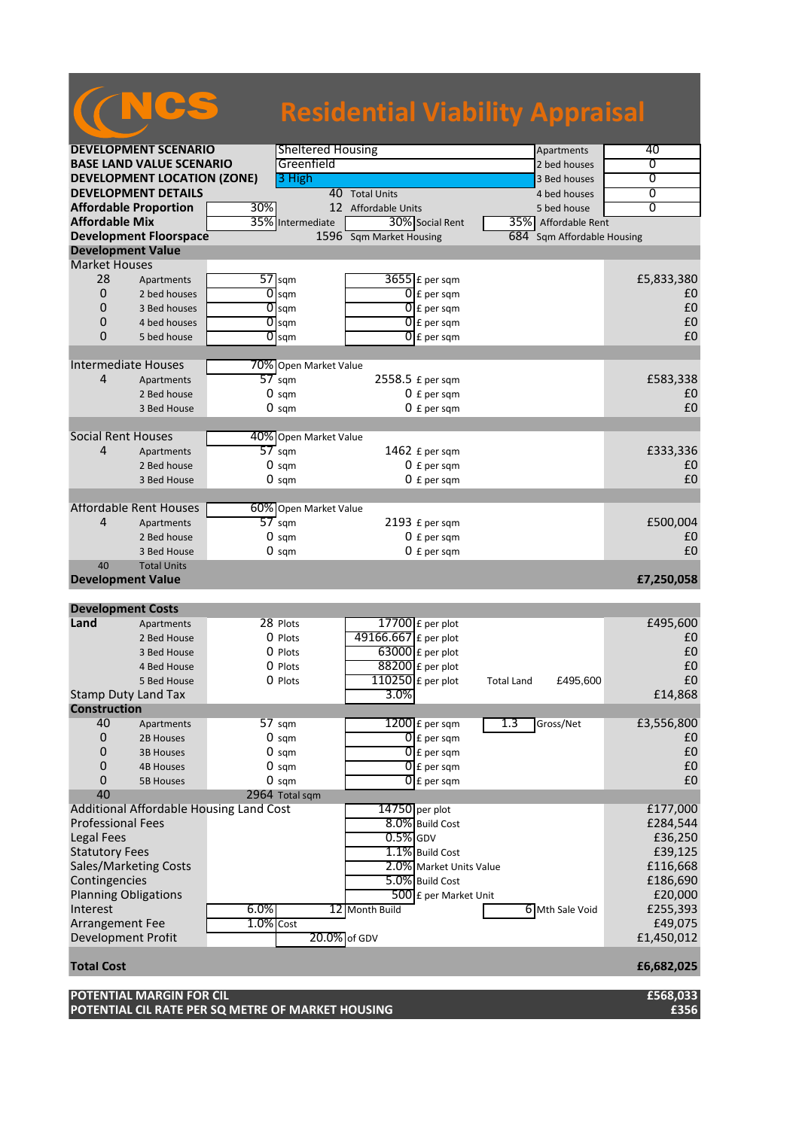|                             |                                                                               |              |                          | <b>Residential Viability Appraisal</b> |                          |                   |                        |                  |
|-----------------------------|-------------------------------------------------------------------------------|--------------|--------------------------|----------------------------------------|--------------------------|-------------------|------------------------|------------------|
|                             | <b>DEVELOPMENT SCENARIO</b>                                                   |              | <b>Sheltered Housing</b> |                                        |                          |                   | Apartments             | 40               |
|                             | <b>BASE LAND VALUE SCENARIO</b>                                               |              | Greenfield               |                                        |                          |                   | 2 bed houses           | 0                |
|                             | <b>DEVELOPMENT LOCATION (ZONE)</b>                                            |              | 3 High                   |                                        |                          |                   | 3 Bed houses           | $\overline{0}$   |
|                             | <b>DEVELOPMENT DETAILS</b>                                                    |              |                          | 40 Total Units                         |                          |                   | 4 bed houses           | 0                |
|                             | <b>Affordable Proportion</b>                                                  | 30%          |                          | 12 Affordable Units                    |                          |                   | 5 bed house            | $\overline{0}$   |
| <b>Affordable Mix</b>       |                                                                               |              | 35% Intermediate         |                                        | 30% Social Rent          |                   | 35% Affordable Rent    |                  |
|                             | <b>Development Floorspace</b>                                                 |              |                          | 1596 Sqm Market Housing                |                          | 684               | Sqm Affordable Housing |                  |
| <b>Development Value</b>    |                                                                               |              |                          |                                        |                          |                   |                        |                  |
| <b>Market Houses</b>        |                                                                               |              |                          |                                        |                          |                   |                        |                  |
| 28                          | Apartments                                                                    |              | $57$ sqm                 |                                        | $3655$ $E$ per sqm       |                   |                        | £5,833,380       |
| 0                           | 2 bed houses                                                                  | 0            | sqm                      |                                        | $0 \nvert$ E per sqm     |                   |                        | £0               |
| $\Omega$                    | 3 Bed houses                                                                  |              | $O$ sqm                  |                                        | $0$ $f$ per sqm          |                   |                        | £0               |
| 0                           | 4 bed houses                                                                  | 0            | sqm                      |                                        | $0 \nvert f$ per sqm     |                   |                        | £0               |
| $\Omega$                    | 5 bed house                                                                   |              | $\overline{O}$ sqm       |                                        | $0$ $E$ per sqm          |                   |                        | £0               |
|                             |                                                                               |              |                          |                                        |                          |                   |                        |                  |
| <b>Intermediate Houses</b>  |                                                                               |              | 70% Open Market Value    |                                        |                          |                   |                        |                  |
| 4                           | Apartments                                                                    |              | $57$ sqm                 |                                        | 2558.5 £ per sqm         |                   |                        | £583,338         |
|                             | 2 Bed house                                                                   |              | $0 \text{ sqm}$          |                                        | $0 f per$ sqm            |                   |                        | £0               |
|                             | 3 Bed House                                                                   |              | $0 \text{ sqm}$          |                                        | $0 f per$ sqm            |                   |                        | £0               |
|                             |                                                                               |              |                          |                                        |                          |                   |                        |                  |
| <b>Social Rent Houses</b>   |                                                                               |              | 40% Open Market Value    |                                        |                          |                   |                        |                  |
| 4                           | Apartments                                                                    |              | $57 \text{ sqm}$         |                                        | 1462 £ per sqm           |                   |                        | £333,336         |
|                             | 2 Bed house                                                                   |              | $0 \text{ sam}$          |                                        | $0 f per$ sqm            |                   |                        | £0               |
|                             | 3 Bed House                                                                   |              | $0 \text{ sqm}$          |                                        | $0 f per$ sqm            |                   |                        | £0               |
|                             |                                                                               |              |                          |                                        |                          |                   |                        |                  |
|                             | <b>Affordable Rent Houses</b>                                                 |              | 60% Open Market Value    |                                        |                          |                   |                        |                  |
| 4                           | Apartments                                                                    |              | $57 \text{ sqm}$         |                                        | 2193 £ per sqm           |                   |                        | £500,004         |
|                             | 2 Bed house                                                                   |              | $0 \text{ sqm}$          |                                        | $0 f per$ sqm            |                   |                        | £0               |
|                             | 3 Bed House                                                                   |              | $0 \text{ sqm}$          |                                        | $0 f per$ sqm            |                   |                        | £0               |
| 40                          | <b>Total Units</b>                                                            |              |                          |                                        |                          |                   |                        |                  |
| <b>Development Value</b>    |                                                                               |              |                          |                                        |                          |                   |                        | £7,250,058       |
| <b>Development Costs</b>    |                                                                               |              |                          |                                        |                          |                   |                        |                  |
| Land                        | Apartments                                                                    |              | 28 Plots                 |                                        | $17700$ £ per plot       |                   |                        | £495,600         |
|                             | 2 Bed House                                                                   |              | 0 Plots                  | 49166.667 £ per plot                   |                          |                   |                        | £0               |
|                             | 3 Bed House                                                                   |              | 0 Plots                  |                                        | $63000$ £ per plot       |                   |                        | £0               |
|                             | 4 Bed House                                                                   |              | 0 Plots                  |                                        | $88200$ £ per plot       |                   |                        | £0               |
|                             | 5 Bed House                                                                   |              | O Plots                  |                                        | $110250$ £ per plot      | <b>Total Land</b> | £495,600               | £0               |
| Stamp Duty Land Tax         |                                                                               |              |                          | 3.0%                                   |                          |                   |                        | £14,868          |
| <b>Construction</b>         |                                                                               |              |                          |                                        |                          |                   |                        |                  |
| 40                          | Apartments                                                                    |              | 57 sqm                   |                                        | $1200$ £ per sqm         | 1.3               | Gross/Net              | £3,556,800       |
| $\mathbf 0$                 | 2B Houses                                                                     |              | $0 \text{ sqm}$          |                                        | $\overline{0}$ E per sqm |                   |                        | £0               |
| 0                           | <b>3B Houses</b>                                                              |              | $0 \text{ sqm}$          |                                        | $\overline{0}$ E per sqm |                   |                        | £0               |
| 0                           | <b>4B Houses</b>                                                              |              | $0 \text{ sam}$          |                                        | $\overline{0}$ E per sqm |                   |                        | £0               |
| 0                           | <b>5B Houses</b>                                                              |              | $0 \text{ sqm}$          |                                        | $\overline{0}$ £ per sqm |                   |                        | £0               |
| 40                          |                                                                               |              | 2964 Total sqm           |                                        |                          |                   |                        |                  |
|                             | Additional Affordable Housing Land Cost                                       |              |                          |                                        | 14750 per plot           |                   |                        | £177,000         |
| <b>Professional Fees</b>    |                                                                               |              |                          |                                        | 8.0% Build Cost          |                   |                        | £284,544         |
| <b>Legal Fees</b>           |                                                                               |              |                          | $0.5\%$ GDV                            |                          |                   |                        | £36,250          |
| <b>Statutory Fees</b>       |                                                                               |              |                          |                                        | 1.1% Build Cost          |                   |                        | £39,125          |
|                             | Sales/Marketing Costs                                                         |              |                          |                                        | 2.0% Market Units Value  |                   |                        | £116,668         |
| Contingencies               |                                                                               |              |                          |                                        | 5.0% Build Cost          |                   |                        | £186,690         |
| <b>Planning Obligations</b> |                                                                               |              |                          |                                        | 500 £ per Market Unit    |                   |                        | £20,000          |
| Interest                    |                                                                               | 6.0%         |                          | 12 Month Build                         |                          |                   | 6 Mth Sale Void        | £255,393         |
| Arrangement Fee             |                                                                               | $1.0\%$ Cost |                          |                                        |                          |                   |                        | £49,075          |
| Development Profit          |                                                                               |              | 20.0% of GDV             |                                        |                          |                   |                        | £1,450,012       |
|                             |                                                                               |              |                          |                                        |                          |                   |                        |                  |
| <b>Total Cost</b>           |                                                                               |              |                          |                                        |                          |                   |                        | £6,682,025       |
|                             | POTENTIAL MARGIN FOR CIL<br>POTENTIAL CIL RATE PER SQ METRE OF MARKET HOUSING |              |                          |                                        |                          |                   |                        | £568,033<br>£356 |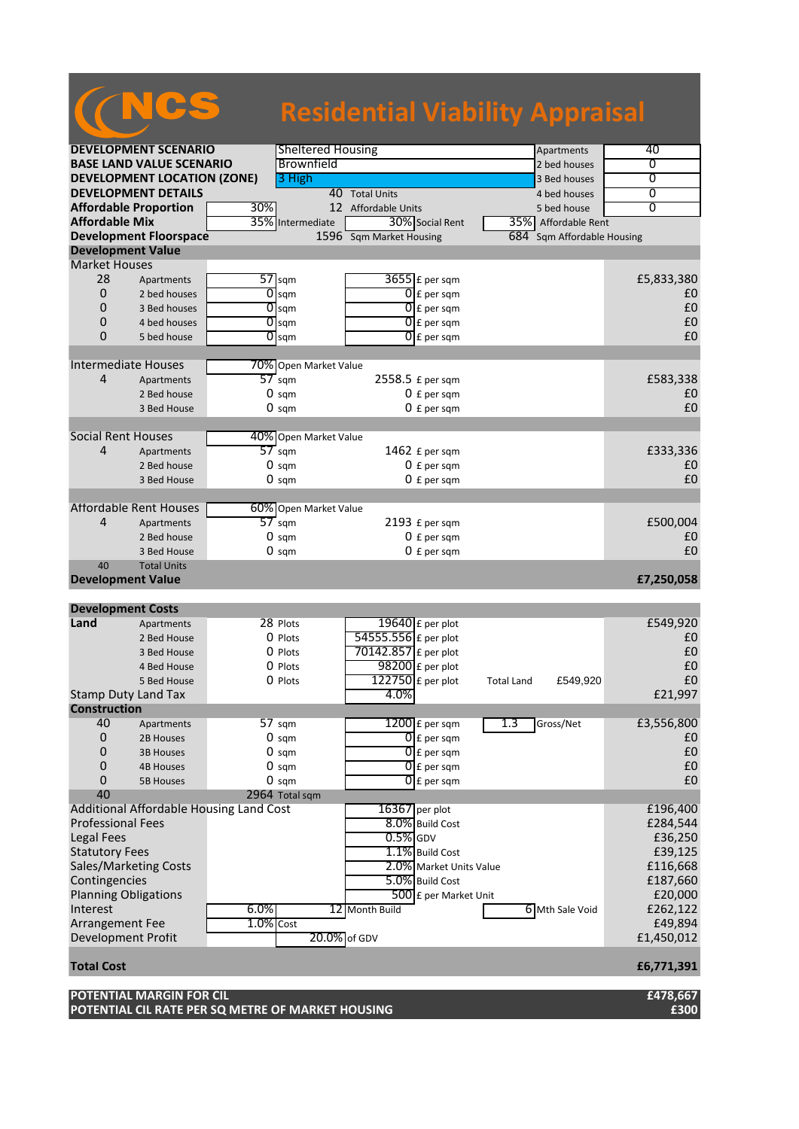|                                              |                                                                               |              |                           | <b>Residential Viability Appraisal</b> |                                          |                   |                        |                     |
|----------------------------------------------|-------------------------------------------------------------------------------|--------------|---------------------------|----------------------------------------|------------------------------------------|-------------------|------------------------|---------------------|
|                                              | <b>DEVELOPMENT SCENARIO</b>                                                   |              | <b>Sheltered Housing</b>  |                                        |                                          |                   | Apartments             | 40                  |
|                                              | <b>BASE LAND VALUE SCENARIO</b>                                               |              | Brownfield                |                                        |                                          |                   | 2 bed houses           | 0                   |
|                                              | <b>DEVELOPMENT LOCATION (ZONE)</b>                                            |              | 3 High                    |                                        |                                          |                   | 3 Bed houses           | $\overline{0}$      |
|                                              | <b>DEVELOPMENT DETAILS</b>                                                    |              |                           | 40 Total Units                         |                                          |                   | 4 bed houses           | 0                   |
|                                              | <b>Affordable Proportion</b>                                                  | 30%          |                           | 12 Affordable Units                    |                                          |                   | 5 bed house            | $\overline{0}$      |
| <b>Affordable Mix</b>                        |                                                                               |              | 35% Intermediate          |                                        | 30% Social Rent                          |                   | 35% Affordable Rent    |                     |
|                                              | <b>Development Floorspace</b>                                                 |              |                           | 1596 Sqm Market Housing                |                                          | 684               | Sqm Affordable Housing |                     |
| <b>Development Value</b>                     |                                                                               |              |                           |                                        |                                          |                   |                        |                     |
| <b>Market Houses</b>                         |                                                                               |              |                           |                                        |                                          |                   |                        |                     |
| 28                                           | Apartments                                                                    |              | $57$ sqm                  |                                        | $3655$ $E$ per sqm                       |                   |                        | £5,833,380          |
| 0<br>$\Omega$                                | 2 bed houses                                                                  | 0            | sqm<br>$O$ sqm            |                                        | $0 \nvert$ E per sqm                     |                   |                        | £0<br>£0            |
| 0                                            | 3 Bed houses<br>4 bed houses                                                  | 0            |                           |                                        | $0$ $f$ per sqm                          |                   |                        | £0                  |
| $\Omega$                                     | 5 bed house                                                                   |              | sqm<br>$\overline{O}$ sqm |                                        | $0 \nvert f$ per sqm<br>$0$ $E$ per sqm  |                   |                        | £0                  |
|                                              |                                                                               |              |                           |                                        |                                          |                   |                        |                     |
| <b>Intermediate Houses</b>                   |                                                                               |              | 70% Open Market Value     |                                        |                                          |                   |                        |                     |
| 4                                            | Apartments                                                                    |              | $57$ sqm                  |                                        | 2558.5 £ per sqm                         |                   |                        | £583,338            |
|                                              | 2 Bed house                                                                   |              | $0 \text{ sqm}$           |                                        | $0 f per$ sqm                            |                   |                        | £0                  |
|                                              | 3 Bed House                                                                   |              | $0 \text{ sqm}$           |                                        | $0 f per$ sqm                            |                   |                        | £0                  |
|                                              |                                                                               |              |                           |                                        |                                          |                   |                        |                     |
| <b>Social Rent Houses</b>                    |                                                                               |              | 40% Open Market Value     |                                        |                                          |                   |                        |                     |
| 4                                            | Apartments                                                                    |              | $57 \text{ sqm}$          |                                        | 1462 £ per sqm                           |                   |                        | £333,336            |
|                                              | 2 Bed house                                                                   |              | $0 \text{ sam}$           |                                        | $0 f per$ sqm                            |                   |                        | £0                  |
|                                              | 3 Bed House                                                                   |              | $0 \text{ sqm}$           |                                        | $0 f per$ sqm                            |                   |                        | £0                  |
|                                              |                                                                               |              |                           |                                        |                                          |                   |                        |                     |
|                                              | <b>Affordable Rent Houses</b>                                                 |              | 60% Open Market Value     |                                        |                                          |                   |                        |                     |
| 4                                            | Apartments                                                                    |              | $57 \text{ sqm}$          |                                        | 2193 £ per sqm                           |                   |                        | £500,004            |
|                                              | 2 Bed house                                                                   |              | $0 \text{ sqm}$           |                                        | $0 f per$ sqm                            |                   |                        | £0                  |
|                                              | 3 Bed House                                                                   |              | $0 \text{ sqm}$           |                                        | $0 f per$ sqm                            |                   |                        | £0                  |
| 40<br><b>Development Value</b>               | <b>Total Units</b>                                                            |              |                           |                                        |                                          |                   |                        | £7,250,058          |
| <b>Development Costs</b>                     |                                                                               |              |                           |                                        |                                          |                   |                        |                     |
| Land                                         | Apartments                                                                    |              | 28 Plots                  |                                        | 19640 £ per plot                         |                   |                        | £549,920            |
|                                              | 2 Bed House                                                                   |              | 0 Plots                   | 54555.556 £ per plot                   |                                          |                   |                        | £0                  |
|                                              | 3 Bed House                                                                   |              | 0 Plots                   | 70142.857 £ per plot                   |                                          |                   |                        | £0                  |
|                                              | 4 Bed House                                                                   |              | 0 Plots                   |                                        | $98200$ £ per plot                       |                   |                        | £0                  |
|                                              | 5 Bed House                                                                   |              | O Plots                   |                                        | $122750$ £ per plot                      | <b>Total Land</b> | £549,920               | £0                  |
| Stamp Duty Land Tax                          |                                                                               |              |                           | 4.0%                                   |                                          |                   |                        | £21,997             |
| <b>Construction</b>                          |                                                                               |              |                           |                                        |                                          |                   |                        |                     |
| 40                                           | Apartments                                                                    |              | 57 sqm                    |                                        | $1200$ £ per sqm                         | 1.3               | Gross/Net              | £3,556,800          |
| $\mathbf 0$                                  | 2B Houses                                                                     |              | $0 \text{ sqm}$           |                                        | $\overline{0}$ E per sqm                 |                   |                        | £0                  |
| 0                                            | <b>3B Houses</b>                                                              |              | $0 \text{ sqm}$           |                                        | $\overline{0}$ E per sqm                 |                   |                        | £0                  |
| 0                                            | <b>4B Houses</b>                                                              |              | $0 \text{ sam}$           |                                        | $\overline{0}$ E per sqm                 |                   |                        | £0                  |
| 0                                            | <b>5B Houses</b>                                                              |              | $0 \text{ sqm}$           |                                        | $\overline{0}$ £ per sqm                 |                   |                        | £0                  |
| 40                                           |                                                                               |              | 2964 Total sqm            |                                        |                                          |                   |                        |                     |
|                                              | Additional Affordable Housing Land Cost                                       |              |                           |                                        | 16367 per plot                           |                   |                        | £196,400            |
| <b>Professional Fees</b>                     |                                                                               |              |                           |                                        | 8.0% Build Cost                          |                   |                        | £284,544            |
| <b>Legal Fees</b>                            |                                                                               |              |                           | $0.5\%$ GDV                            |                                          |                   |                        | £36,250             |
| <b>Statutory Fees</b>                        |                                                                               |              |                           |                                        | 1.1% Build Cost                          |                   |                        | £39,125             |
|                                              | Sales/Marketing Costs                                                         |              |                           |                                        | 2.0% Market Units Value                  |                   |                        | £116,668            |
| Contingencies<br><b>Planning Obligations</b> |                                                                               |              |                           |                                        | 5.0% Build Cost<br>500 £ per Market Unit |                   |                        | £187,660<br>£20,000 |
| Interest                                     |                                                                               | 6.0%         |                           |                                        |                                          |                   |                        | £262,122            |
| Arrangement Fee                              |                                                                               | $1.0\%$ Cost |                           | 12 Month Build                         |                                          |                   | 6 Mth Sale Void        | £49,894             |
| Development Profit                           |                                                                               |              | 20.0% of GDV              |                                        |                                          |                   |                        | £1,450,012          |
|                                              |                                                                               |              |                           |                                        |                                          |                   |                        |                     |
| <b>Total Cost</b>                            |                                                                               |              |                           |                                        |                                          |                   |                        | £6,771,391          |
|                                              | POTENTIAL MARGIN FOR CIL<br>POTENTIAL CIL RATE PER SQ METRE OF MARKET HOUSING |              |                           |                                        |                                          |                   |                        | £478,667<br>£300    |